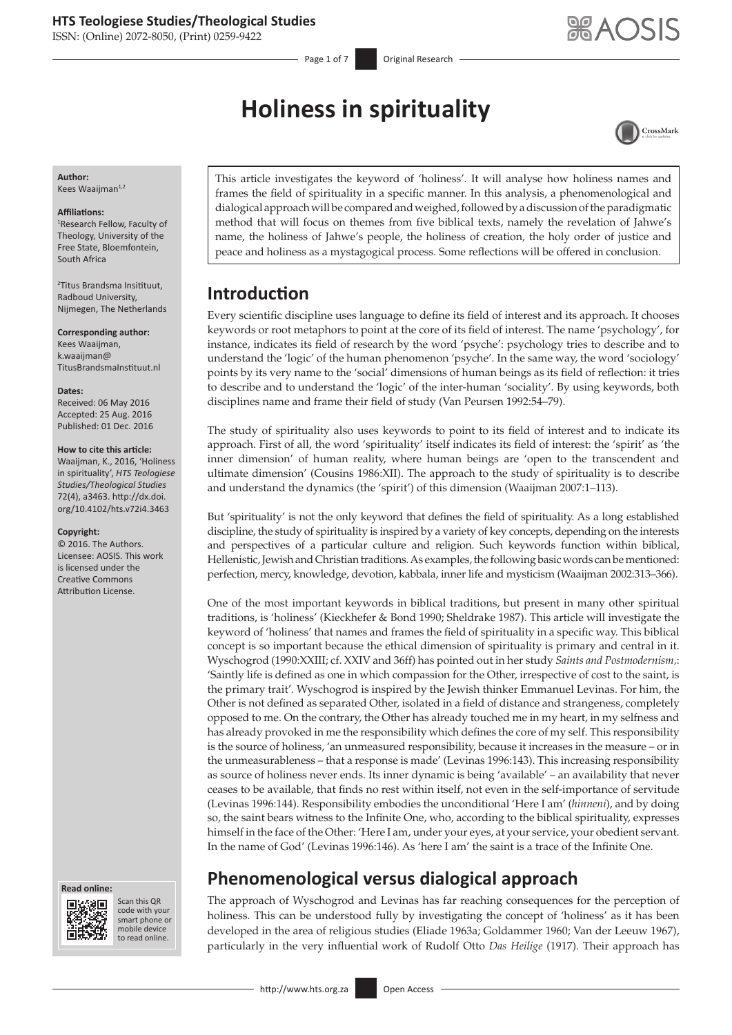ISSN: (Online) 2072-8050, (Print) 0259-9422

Page 1 of 7 **Original Research** 

# **Holiness in spirituality**



**Author:** Kees Waaijman<sup>1,2</sup>

#### **Affiliations:**

1 Research Fellow, Faculty of Theology, University of the Free State, Bloemfontein, South Africa

2 Titus Brandsma Insitituut, Radboud University, Nijmegen, The Netherlands

**Corresponding author:** Kees Waaijman, [k.waaijman@](mailto:k.waaijman@TitusBrandsmaInstituut.nl) [TitusBrandsmaInstituut.nl](mailto:k.waaijman@TitusBrandsmaInstituut.nl)

**Dates:**

Received: 06 May 2016 Accepted: 25 Aug. 2016 Published: 01 Dec. 2016

#### **How to cite this article:**

Waaijman, K., 2016, 'Holiness in spirituality', *HTS Teologiese Studies/Theological Studies* 72(4), a3463. [http://dx.doi.](http://dx.doi.org/10.4102/hts.v72i4.3463) [org/10.4102/hts.v72i4.3463](http://dx.doi.org/10.4102/hts.v72i4.3463)

#### **Copyright:**

© 2016. The Authors. Licensee: AOSIS. This work is licensed under the Creative Commons Attribution License.

**Read online: Read** 



Scan this QR code with your Scan this QR<br>code with your<br>smart phone or<br>mobile device mobile device to read online. to read online.

This article investigates the keyword of 'holiness'. It will analyse how holiness names and frames the field of spirituality in a specific manner. In this analysis, a phenomenological and dialogical approach will be compared and weighed, followed by a discussion of the paradigmatic method that will focus on themes from five biblical texts, namely the revelation of Jahwe's name, the holiness of Jahwe's people, the holiness of creation, the holy order of justice and peace and holiness as a mystagogical process. Some reflections will be offered in conclusion.

# **Introduction**

Every scientific discipline uses language to define its field of interest and its approach. It chooses keywords or root metaphors to point at the core of its field of interest. The name 'psychology', for instance, indicates its field of research by the word 'psyche': psychology tries to describe and to understand the 'logic' of the human phenomenon 'psyche'. In the same way, the word 'sociology' points by its very name to the 'social' dimensions of human beings as its field of reflection: it tries to describe and to understand the 'logic' of the inter-human 'sociality'. By using keywords, both disciplines name and frame their field of study (Van Peursen 1992:54–79).

The study of spirituality also uses keywords to point to its field of interest and to indicate its approach. First of all, the word 'spirituality' itself indicates its field of interest: the 'spirit' as 'the inner dimension' of human reality, where human beings are 'open to the transcendent and ultimate dimension' (Cousins 1986:XII). The approach to the study of spirituality is to describe and understand the dynamics (the 'spirit') of this dimension (Waaijman 2007:1–113).

But 'spirituality' is not the only keyword that defines the field of spirituality. As a long established discipline, the study of spirituality is inspired by a variety of key concepts, depending on the interests and perspectives of a particular culture and religion. Such keywords function within biblical, Hellenistic, Jewish and Christian traditions. As examples, the following basic words can be mentioned: perfection, mercy, knowledge, devotion, kabbala, inner life and mysticism (Waaijman 2002:313–366).

One of the most important keywords in biblical traditions, but present in many other spiritual traditions, is 'holiness' (Kieckhefer & Bond 1990; Sheldrake 1987). This article will investigate the keyword of 'holiness' that names and frames the field of spirituality in a specific way. This biblical concept is so important because the ethical dimension of spirituality is primary and central in it. Wyschogrod (1990:XXIII; cf. XXIV and 36ff) has pointed out in her study *Saints and Postmodernism,*: 'Saintly life is defined as one in which compassion for the Other, irrespective of cost to the saint, is the primary trait'. Wyschogrod is inspired by the Jewish thinker Emmanuel Levinas. For him, the Other is not defined as separated Other, isolated in a field of distance and strangeness, completely opposed to me. On the contrary, the Other has already touched me in my heart, in my selfness and has already provoked in me the responsibility which defines the core of my self. This responsibility is the source of holiness, 'an unmeasured responsibility, because it increases in the measure – or in the unmeasurableness – that a response is made' (Levinas 1996:143). This increasing responsibility as source of holiness never ends. Its inner dynamic is being 'available' – an availability that never ceases to be available, that finds no rest within itself, not even in the self-importance of servitude (Levinas 1996:144). Responsibility embodies the unconditional 'Here I am' (*hinneni*), and by doing so, the saint bears witness to the Infinite One, who, according to the biblical spirituality, expresses himself in the face of the Other: 'Here I am, under your eyes, at your service, your obedient servant. In the name of God' (Levinas 1996:146). As 'here I am' the saint is a trace of the Infinite One.

# **Phenomenological versus dialogical approach**

The approach of Wyschogrod and Levinas has far reaching consequences for the perception of holiness. This can be understood fully by investigating the concept of 'holiness' as it has been developed in the area of religious studies (Eliade 1963a; Goldammer 1960; Van der Leeuw 1967), particularly in the very influential work of Rudolf Otto *Das Heilige* (1917)*.* Their approach has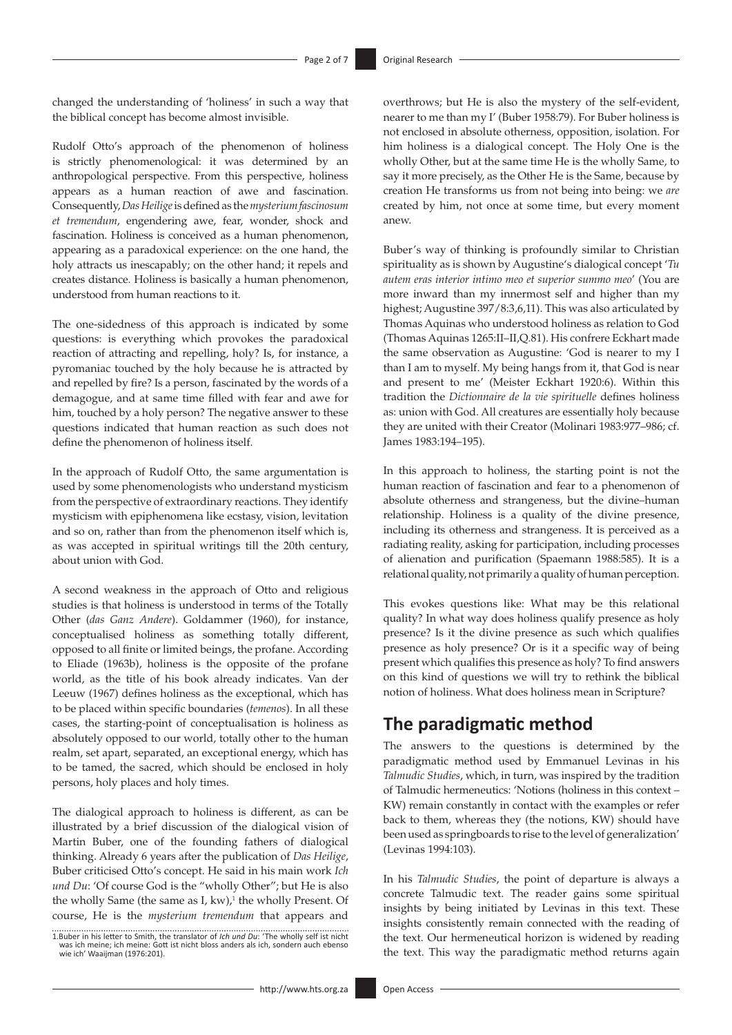changed the understanding of 'holiness' in such a way that the biblical concept has become almost invisible.

Rudolf Otto's approach of the phenomenon of holiness is strictly phenomenological: it was determined by an anthropological perspective. From this perspective, holiness appears as a human reaction of awe and fascination. Consequently, *Das Heilige* is defined as the *mysterium fascinosum et tremendum*, engendering awe, fear, wonder, shock and fascination. Holiness is conceived as a human phenomenon, appearing as a paradoxical experience: on the one hand, the holy attracts us inescapably; on the other hand; it repels and creates distance. Holiness is basically a human phenomenon, understood from human reactions to it.

The one-sidedness of this approach is indicated by some questions: is everything which provokes the paradoxical reaction of attracting and repelling, holy? Is, for instance, a pyromaniac touched by the holy because he is attracted by and repelled by fire? Is a person, fascinated by the words of a demagogue, and at same time filled with fear and awe for him, touched by a holy person? The negative answer to these questions indicated that human reaction as such does not define the phenomenon of holiness itself.

In the approach of Rudolf Otto, the same argumentation is used by some phenomenologists who understand mysticism from the perspective of extraordinary reactions. They identify mysticism with epiphenomena like ecstasy, vision, levitation and so on, rather than from the phenomenon itself which is, as was accepted in spiritual writings till the 20th century, about union with God.

A second weakness in the approach of Otto and religious studies is that holiness is understood in terms of the Totally Other (*das Ganz Andere*). Goldammer (1960), for instance, conceptualised holiness as something totally different, opposed to all finite or limited beings, the profane. According to Eliade (1963b), holiness is the opposite of the profane world, as the title of his book already indicates. Van der Leeuw (1967) defines holiness as the exceptional, which has to be placed within specific boundaries (*temenos*). In all these cases, the starting-point of conceptualisation is holiness as absolutely opposed to our world, totally other to the human realm, set apart, separated, an exceptional energy, which has to be tamed, the sacred, which should be enclosed in holy persons, holy places and holy times.

The dialogical approach to holiness is different, as can be illustrated by a brief discussion of the dialogical vision of Martin Buber, one of the founding fathers of dialogical thinking. Already 6 years after the publication of *Das Heilige*, Buber criticised Otto's concept. He said in his main work *Ich und Du*: 'Of course God is the "wholly Other"; but He is also the wholly Same (the same as  $I$ , kw),<sup>1</sup> the wholly Present. Of course, He is the *mysterium tremendum* that appears and

1.Buber in his letter to Smith, the translator of *Ich und Du*: 'The wholly self ist nicht was ich meine; ich meine: Gott ist nicht bloss anders als ich, sondern auch ebenso wie ich' Waaijman (1976:201). overthrows; but He is also the mystery of the self-evident, nearer to me than my I' (Buber 1958:79). For Buber holiness is not enclosed in absolute otherness, opposition, isolation. For him holiness is a dialogical concept. The Holy One is the wholly Other, but at the same time He is the wholly Same, to say it more precisely, as the Other He is the Same, because by creation He transforms us from not being into being: we *are* created by him, not once at some time, but every moment anew.

Buber's way of thinking is profoundly similar to Christian spirituality as is shown by Augustine's dialogical concept '*Tu autem eras interior intimo meo et superior summo meo*' (You are more inward than my innermost self and higher than my highest; Augustine 397/8:3,6,11). This was also articulated by Thomas Aquinas who understood holiness as relation to God (Thomas Aquinas 1265:II–II,Q.81). His confrere Eckhart made the same observation as Augustine: 'God is nearer to my I than I am to myself. My being hangs from it, that God is near and present to me' (Meister Eckhart 1920:6). Within this tradition the *Dictionnaire de la vie spirituelle* defines holiness as: union with God. All creatures are essentially holy because they are united with their Creator (Molinari 1983:977–986; cf. James 1983:194–195).

In this approach to holiness, the starting point is not the human reaction of fascination and fear to a phenomenon of absolute otherness and strangeness, but the divine–human relationship. Holiness is a quality of the divine presence, including its otherness and strangeness. It is perceived as a radiating reality, asking for participation, including processes of alienation and purification (Spaemann 1988:585). It is a relational quality, not primarily a quality of human perception.

This evokes questions like: What may be this relational quality? In what way does holiness qualify presence as holy presence? Is it the divine presence as such which qualifies presence as holy presence? Or is it a specific way of being present which qualifies this presence as holy? To find answers on this kind of questions we will try to rethink the biblical notion of holiness. What does holiness mean in Scripture?

### **The paradigmatic method**

The answers to the questions is determined by the paradigmatic method used by Emmanuel Levinas in his *Talmudic Studies*, which, in turn, was inspired by the tradition of Talmudic hermeneutics: 'Notions (holiness in this context – KW) remain constantly in contact with the examples or refer back to them, whereas they (the notions, KW) should have been used as springboards to rise to the level of generalization' (Levinas 1994:103).

In his *Talmudic Studies*, the point of departure is always a concrete Talmudic text. The reader gains some spiritual insights by being initiated by Levinas in this text. These insights consistently remain connected with the reading of the text. Our hermeneutical horizon is widened by reading the text. This way the paradigmatic method returns again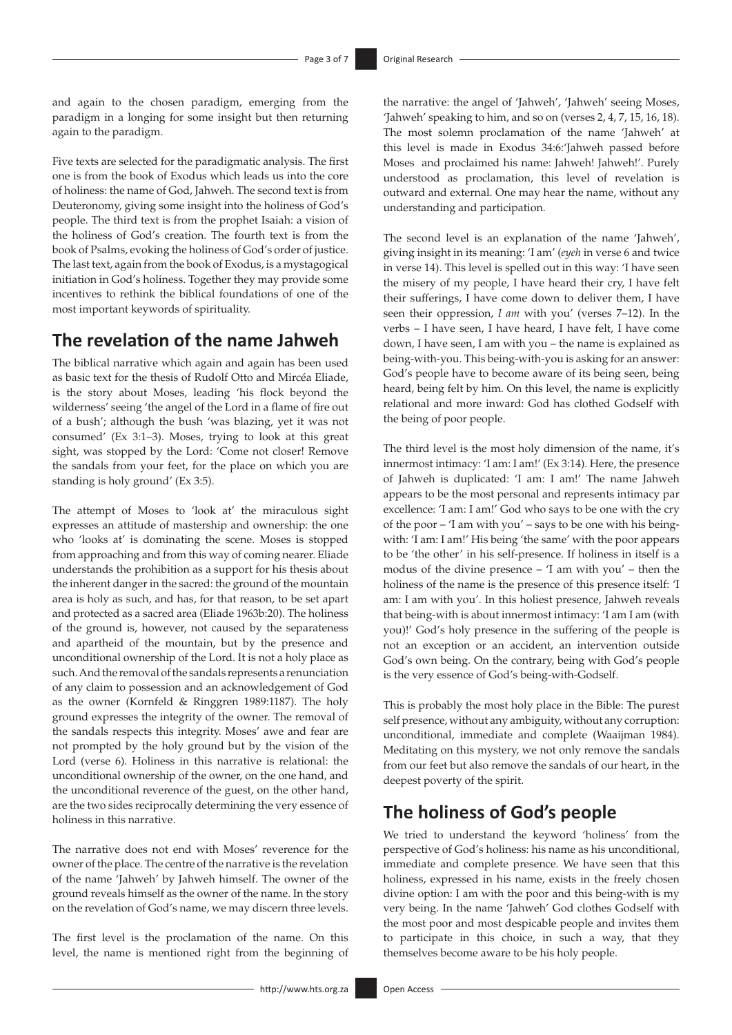and again to the chosen paradigm, emerging from the paradigm in a longing for some insight but then returning again to the paradigm.

Five texts are selected for the paradigmatic analysis. The first one is from the book of Exodus which leads us into the core of holiness: the name of God, Jahweh. The second text is from Deuteronomy, giving some insight into the holiness of God's people. The third text is from the prophet Isaiah: a vision of the holiness of God's creation. The fourth text is from the book of Psalms, evoking the holiness of God's order of justice. The last text, again from the book of Exodus, is a mystagogical initiation in God's holiness. Together they may provide some incentives to rethink the biblical foundations of one of the most important keywords of spirituality.

### **The revelation of the name Jahweh**

The biblical narrative which again and again has been used as basic text for the thesis of Rudolf Otto and Mircéa Eliade, is the story about Moses, leading 'his flock beyond the wilderness' seeing 'the angel of the Lord in a flame of fire out of a bush'; although the bush 'was blazing, yet it was not consumed' (Ex 3:1–3). Moses, trying to look at this great sight, was stopped by the Lord: 'Come not closer! Remove the sandals from your feet, for the place on which you are standing is holy ground' (Ex 3:5).

The attempt of Moses to 'look at' the miraculous sight expresses an attitude of mastership and ownership: the one who 'looks at' is dominating the scene. Moses is stopped from approaching and from this way of coming nearer. Eliade understands the prohibition as a support for his thesis about the inherent danger in the sacred: the ground of the mountain area is holy as such, and has, for that reason, to be set apart and protected as a sacred area (Eliade 1963b:20). The holiness of the ground is, however, not caused by the separateness and apartheid of the mountain, but by the presence and unconditional ownership of the Lord. It is not a holy place as such. And the removal of the sandals represents a renunciation of any claim to possession and an acknowledgement of God as the owner (Kornfeld & Ringgren 1989:1187). The holy ground expresses the integrity of the owner. The removal of the sandals respects this integrity. Moses' awe and fear are not prompted by the holy ground but by the vision of the Lord (verse 6). Holiness in this narrative is relational: the unconditional ownership of the owner, on the one hand, and the unconditional reverence of the guest, on the other hand, are the two sides reciprocally determining the very essence of holiness in this narrative.

The narrative does not end with Moses' reverence for the owner of the place. The centre of the narrative is the revelation of the name 'Jahweh' by Jahweh himself. The owner of the ground reveals himself as the owner of the name. In the story on the revelation of God's name, we may discern three levels.

The first level is the proclamation of the name. On this level, the name is mentioned right from the beginning of the narrative: the angel of 'Jahweh', 'Jahweh' seeing Moses, 'Jahweh' speaking to him, and so on (verses 2, 4, 7, 15, 16, 18). The most solemn proclamation of the name 'Jahweh' at this level is made in Exodus 34:6:'Jahweh passed before Moses and proclaimed his name: Jahweh! Jahweh!'. Purely understood as proclamation, this level of revelation is outward and external. One may hear the name, without any understanding and participation.

The second level is an explanation of the name 'Jahweh', giving insight in its meaning: 'I am' (*eyeh* in verse 6 and twice in verse 14). This level is spelled out in this way: 'I have seen the misery of my people, I have heard their cry, I have felt their sufferings, I have come down to deliver them, I have seen their oppression, *I am* with you' (verses 7–12). In the verbs – I have seen, I have heard, I have felt, I have come down, I have seen, I am with you – the name is explained as being-with-you. This being-with-you is asking for an answer: God's people have to become aware of its being seen, being heard, being felt by him. On this level, the name is explicitly relational and more inward: God has clothed Godself with the being of poor people.

The third level is the most holy dimension of the name, it's innermost intimacy: 'I am: I am!' (Ex 3:14). Here, the presence of Jahweh is duplicated: 'I am: I am!' The name Jahweh appears to be the most personal and represents intimacy par excellence: 'I am: I am!' God who says to be one with the cry of the poor – 'I am with you' – says to be one with his beingwith: 'I am: I am!' His being 'the same' with the poor appears to be 'the other' in his self-presence. If holiness in itself is a modus of the divine presence – 'I am with you' – then the holiness of the name is the presence of this presence itself: 'I am: I am with you'. In this holiest presence, Jahweh reveals that being-with is about innermost intimacy: 'I am I am (with you)!' God's holy presence in the suffering of the people is not an exception or an accident, an intervention outside God's own being. On the contrary, being with God's people is the very essence of God's being-with-Godself.

This is probably the most holy place in the Bible: The purest self presence, without any ambiguity, without any corruption: unconditional, immediate and complete (Waaijman 1984). Meditating on this mystery, we not only remove the sandals from our feet but also remove the sandals of our heart, in the deepest poverty of the spirit.

## **The holiness of God's people**

We tried to understand the keyword 'holiness' from the perspective of God's holiness: his name as his unconditional, immediate and complete presence. We have seen that this holiness, expressed in his name, exists in the freely chosen divine option: I am with the poor and this being-with is my very being. In the name 'Jahweh' God clothes Godself with the most poor and most despicable people and invites them to participate in this choice, in such a way, that they themselves become aware to be his holy people.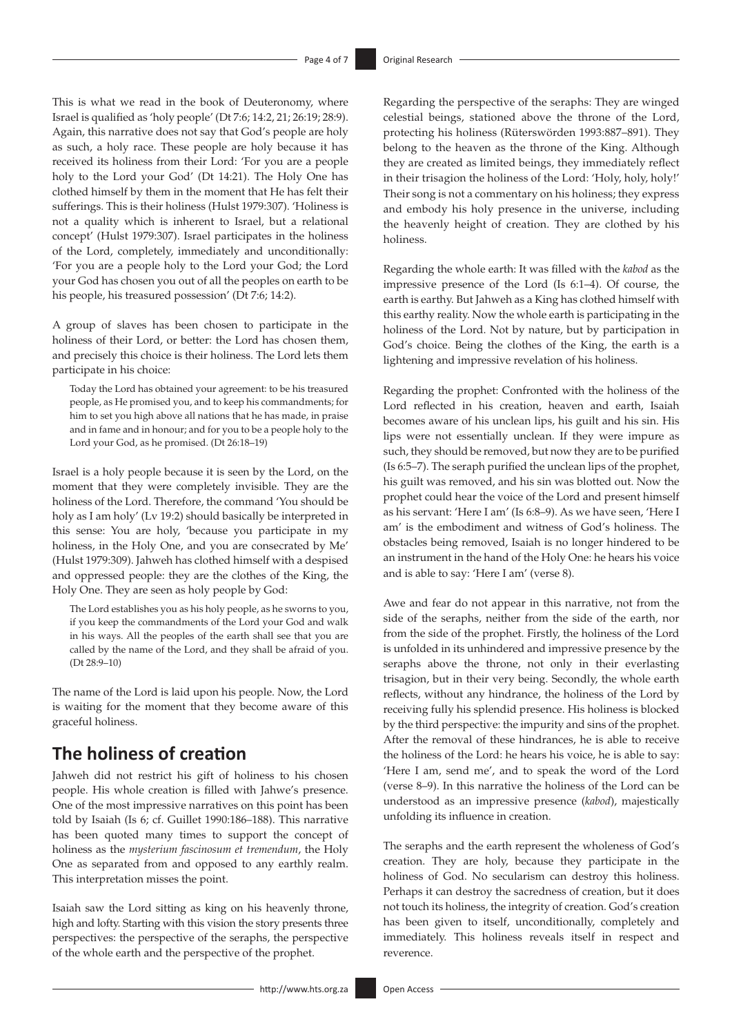This is what we read in the book of Deuteronomy, where Israel is qualified as 'holy people' (Dt 7:6; 14:2, 21; 26:19; 28:9). Again, this narrative does not say that God's people are holy as such, a holy race. These people are holy because it has received its holiness from their Lord: 'For you are a people holy to the Lord your God' (Dt 14:21). The Holy One has clothed himself by them in the moment that He has felt their sufferings. This is their holiness (Hulst 1979:307). 'Holiness is not a quality which is inherent to Israel, but a relational concept' (Hulst 1979:307). Israel participates in the holiness of the Lord, completely, immediately and unconditionally: 'For you are a people holy to the Lord your God; the Lord your God has chosen you out of all the peoples on earth to be his people, his treasured possession' (Dt 7:6; 14:2).

A group of slaves has been chosen to participate in the holiness of their Lord, or better: the Lord has chosen them, and precisely this choice is their holiness. The Lord lets them participate in his choice:

Today the Lord has obtained your agreement: to be his treasured people, as He promised you, and to keep his commandments; for him to set you high above all nations that he has made, in praise and in fame and in honour; and for you to be a people holy to the Lord your God, as he promised. (Dt 26:18–19)

Israel is a holy people because it is seen by the Lord, on the moment that they were completely invisible. They are the holiness of the Lord. Therefore, the command 'You should be holy as I am holy' (Lv 19:2) should basically be interpreted in this sense: You are holy, 'because you participate in my holiness, in the Holy One, and you are consecrated by Me' (Hulst 1979:309). Jahweh has clothed himself with a despised and oppressed people: they are the clothes of the King, the Holy One. They are seen as holy people by God:

The Lord establishes you as his holy people, as he sworns to you, if you keep the commandments of the Lord your God and walk in his ways. All the peoples of the earth shall see that you are called by the name of the Lord, and they shall be afraid of you. (Dt 28:9–10)

The name of the Lord is laid upon his people. Now, the Lord is waiting for the moment that they become aware of this graceful holiness.

## **The holiness of creation**

Jahweh did not restrict his gift of holiness to his chosen people. His whole creation is filled with Jahwe's presence. One of the most impressive narratives on this point has been told by Isaiah (Is 6; cf. Guillet 1990:186–188). This narrative has been quoted many times to support the concept of holiness as the *mysterium fascinosum et tremendum*, the Holy One as separated from and opposed to any earthly realm. This interpretation misses the point.

Isaiah saw the Lord sitting as king on his heavenly throne, high and lofty. Starting with this vision the story presents three perspectives: the perspective of the seraphs, the perspective of the whole earth and the perspective of the prophet.

Regarding the perspective of the seraphs: They are winged celestial beings, stationed above the throne of the Lord, protecting his holiness (Rüterswörden 1993:887–891). They belong to the heaven as the throne of the King. Although they are created as limited beings, they immediately reflect in their trisagion the holiness of the Lord: 'Holy, holy, holy!' Their song is not a commentary on his holiness; they express and embody his holy presence in the universe, including the heavenly height of creation. They are clothed by his holiness.

Regarding the whole earth: It was filled with the *kabod* as the impressive presence of the Lord (Is 6:1–4). Of course, the earth is earthy. But Jahweh as a King has clothed himself with this earthy reality. Now the whole earth is participating in the holiness of the Lord. Not by nature, but by participation in God's choice. Being the clothes of the King, the earth is a lightening and impressive revelation of his holiness.

Regarding the prophet: Confronted with the holiness of the Lord reflected in his creation, heaven and earth, Isaiah becomes aware of his unclean lips, his guilt and his sin. His lips were not essentially unclean. If they were impure as such, they should be removed, but now they are to be purified (Is 6:5–7). The seraph purified the unclean lips of the prophet, his guilt was removed, and his sin was blotted out. Now the prophet could hear the voice of the Lord and present himself as his servant: 'Here I am' (Is 6:8–9). As we have seen, 'Here I am' is the embodiment and witness of God's holiness. The obstacles being removed, Isaiah is no longer hindered to be an instrument in the hand of the Holy One: he hears his voice and is able to say: 'Here I am' (verse 8).

Awe and fear do not appear in this narrative, not from the side of the seraphs, neither from the side of the earth, nor from the side of the prophet. Firstly, the holiness of the Lord is unfolded in its unhindered and impressive presence by the seraphs above the throne, not only in their everlasting trisagion, but in their very being. Secondly, the whole earth reflects, without any hindrance, the holiness of the Lord by receiving fully his splendid presence. His holiness is blocked by the third perspective: the impurity and sins of the prophet. After the removal of these hindrances, he is able to receive the holiness of the Lord: he hears his voice, he is able to say: 'Here I am, send me', and to speak the word of the Lord (verse 8–9). In this narrative the holiness of the Lord can be understood as an impressive presence (*kabod*), majestically unfolding its influence in creation.

The seraphs and the earth represent the wholeness of God's creation. They are holy, because they participate in the holiness of God. No secularism can destroy this holiness. Perhaps it can destroy the sacredness of creation, but it does not touch its holiness, the integrity of creation. God's creation has been given to itself, unconditionally, completely and immediately. This holiness reveals itself in respect and reverence.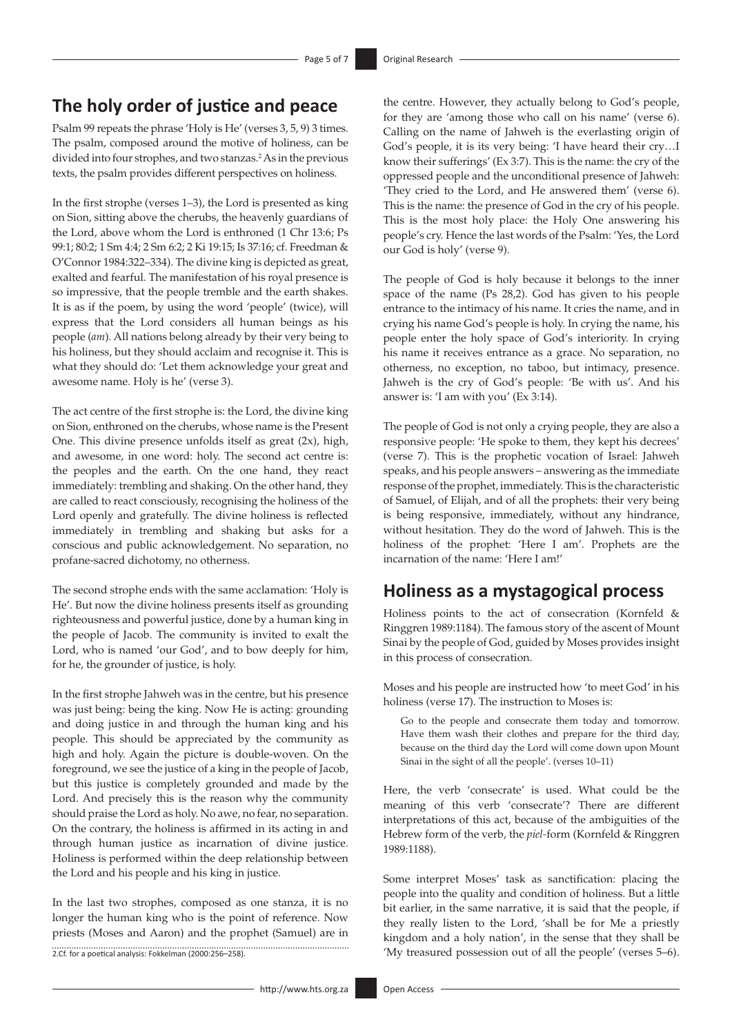# **The holy order of justice and peace**

Psalm 99 repeats the phrase 'Holy is He' (verses 3, 5, 9) 3 times. The psalm, composed around the motive of holiness, can be divided into four strophes, and two stanzas.<sup>2</sup> As in the previous texts, the psalm provides different perspectives on holiness.

In the first strophe (verses 1–3), the Lord is presented as king on Sion, sitting above the cherubs, the heavenly guardians of the Lord, above whom the Lord is enthroned (1 Chr 13:6; Ps 99:1; 80:2; 1 Sm 4:4; 2 Sm 6:2; 2 Ki 19:15; Is 37:16; cf. Freedman & O'Connor 1984:322–334). The divine king is depicted as great, exalted and fearful. The manifestation of his royal presence is so impressive, that the people tremble and the earth shakes. It is as if the poem, by using the word 'people' (twice), will express that the Lord considers all human beings as his people (*am*). All nations belong already by their very being to his holiness, but they should acclaim and recognise it. This is what they should do: 'Let them acknowledge your great and awesome name. Holy is he' (verse 3).

The act centre of the first strophe is: the Lord, the divine king on Sion, enthroned on the cherubs, whose name is the Present One. This divine presence unfolds itself as great (2x), high, and awesome, in one word: holy. The second act centre is: the peoples and the earth. On the one hand, they react immediately: trembling and shaking. On the other hand, they are called to react consciously, recognising the holiness of the Lord openly and gratefully. The divine holiness is reflected immediately in trembling and shaking but asks for a conscious and public acknowledgement. No separation, no profane-sacred dichotomy, no otherness.

The second strophe ends with the same acclamation: 'Holy is He'. But now the divine holiness presents itself as grounding righteousness and powerful justice, done by a human king in the people of Jacob. The community is invited to exalt the Lord, who is named 'our God', and to bow deeply for him, for he, the grounder of justice, is holy.

In the first strophe Jahweh was in the centre, but his presence was just being: being the king. Now He is acting: grounding and doing justice in and through the human king and his people. This should be appreciated by the community as high and holy. Again the picture is double-woven. On the foreground, we see the justice of a king in the people of Jacob, but this justice is completely grounded and made by the Lord. And precisely this is the reason why the community should praise the Lord as holy. No awe, no fear, no separation. On the contrary, the holiness is affirmed in its acting in and through human justice as incarnation of divine justice. Holiness is performed within the deep relationship between the Lord and his people and his king in justice.

In the last two strophes, composed as one stanza, it is no longer the human king who is the point of reference. Now priests (Moses and Aaron) and the prophet (Samuel) are in 2.Cf. for a poetical analysis: Fokkelman (2000:256–258). the centre. However, they actually belong to God's people, for they are 'among those who call on his name' (verse 6). Calling on the name of Jahweh is the everlasting origin of God's people, it is its very being: 'I have heard their cry…I know their sufferings' (Ex 3:7). This is the name: the cry of the oppressed people and the unconditional presence of Jahweh: 'They cried to the Lord, and He answered them' (verse 6). This is the name: the presence of God in the cry of his people. This is the most holy place: the Holy One answering his people's cry. Hence the last words of the Psalm: 'Yes, the Lord our God is holy' (verse 9).

The people of God is holy because it belongs to the inner space of the name (Ps 28,2). God has given to his people entrance to the intimacy of his name. It cries the name, and in crying his name God's people is holy. In crying the name, his people enter the holy space of God's interiority. In crying his name it receives entrance as a grace. No separation, no otherness, no exception, no taboo, but intimacy, presence. Jahweh is the cry of God's people: 'Be with us'. And his answer is: 'I am with you' (Ex 3:14).

The people of God is not only a crying people, they are also a responsive people: 'He spoke to them, they kept his decrees' (verse 7). This is the prophetic vocation of Israel: Jahweh speaks, and his people answers – answering as the immediate response of the prophet, immediately. This is the characteristic of Samuel, of Elijah, and of all the prophets: their very being is being responsive, immediately, without any hindrance, without hesitation. They do the word of Jahweh. This is the holiness of the prophet: 'Here I am'. Prophets are the incarnation of the name: 'Here I am!'

#### **Holiness as a mystagogical process**

Holiness points to the act of consecration (Kornfeld & Ringgren 1989:1184). The famous story of the ascent of Mount Sinai by the people of God, guided by Moses provides insight in this process of consecration.

Moses and his people are instructed how 'to meet God' in his holiness (verse 17). The instruction to Moses is:

Go to the people and consecrate them today and tomorrow. Have them wash their clothes and prepare for the third day, because on the third day the Lord will come down upon Mount Sinai in the sight of all the people'. (verses 10–11)

Here, the verb 'consecrate' is used. What could be the meaning of this verb 'consecrate'? There are different interpretations of this act, because of the ambiguities of the Hebrew form of the verb, the *piel-*form (Kornfeld & Ringgren 1989:1188).

Some interpret Moses' task as sanctification: placing the people into the quality and condition of holiness. But a little bit earlier, in the same narrative, it is said that the people, if they really listen to the Lord, 'shall be for Me a priestly kingdom and a holy nation', in the sense that they shall be 'My treasured possession out of all the people' (verses 5–6).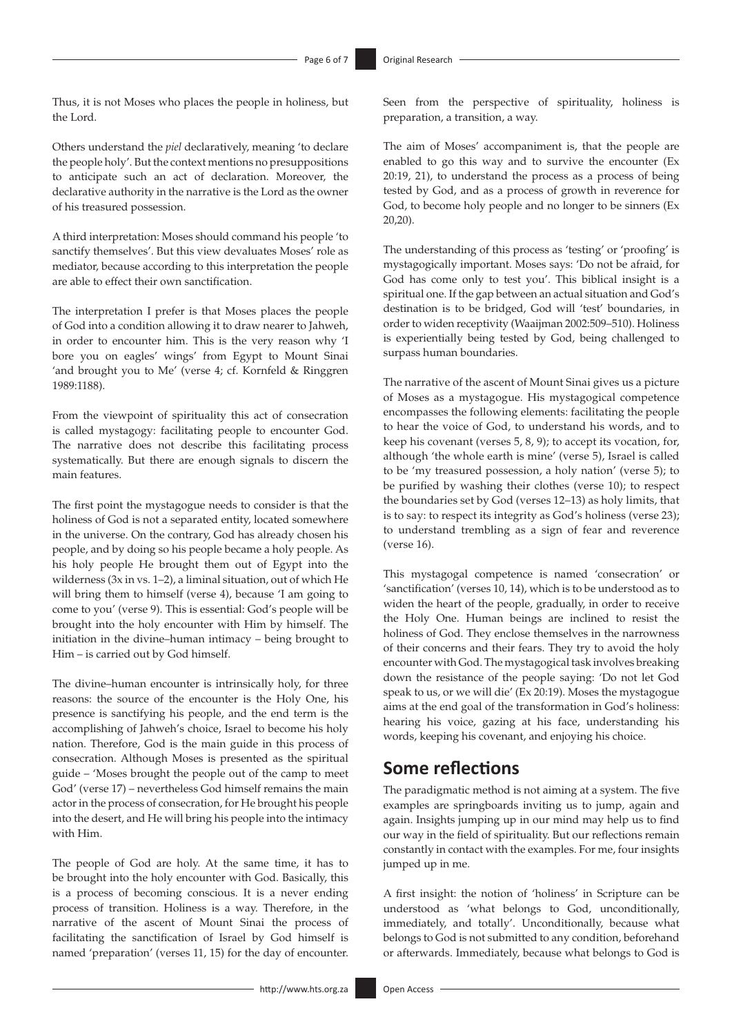Thus, it is not Moses who places the people in holiness, but the Lord.

Others understand the *piel* declaratively, meaning 'to declare the people holy'. But the context mentions no presuppositions to anticipate such an act of declaration. Moreover, the declarative authority in the narrative is the Lord as the owner of his treasured possession.

A third interpretation: Moses should command his people 'to sanctify themselves'. But this view devaluates Moses' role as mediator, because according to this interpretation the people are able to effect their own sanctification.

The interpretation I prefer is that Moses places the people of God into a condition allowing it to draw nearer to Jahweh, in order to encounter him. This is the very reason why 'I bore you on eagles' wings' from Egypt to Mount Sinai 'and brought you to Me' (verse 4; cf. Kornfeld & Ringgren 1989:1188).

From the viewpoint of spirituality this act of consecration is called mystagogy: facilitating people to encounter God. The narrative does not describe this facilitating process systematically. But there are enough signals to discern the main features.

The first point the mystagogue needs to consider is that the holiness of God is not a separated entity, located somewhere in the universe. On the contrary, God has already chosen his people, and by doing so his people became a holy people. As his holy people He brought them out of Egypt into the wilderness (3x in vs. 1–2), a liminal situation, out of which He will bring them to himself (verse 4), because 'I am going to come to you' (verse 9). This is essential: God's people will be brought into the holy encounter with Him by himself. The initiation in the divine–human intimacy – being brought to Him – is carried out by God himself.

The divine–human encounter is intrinsically holy, for three reasons: the source of the encounter is the Holy One, his presence is sanctifying his people, and the end term is the accomplishing of Jahweh's choice, Israel to become his holy nation. Therefore, God is the main guide in this process of consecration. Although Moses is presented as the spiritual guide – 'Moses brought the people out of the camp to meet God' (verse 17) – nevertheless God himself remains the main actor in the process of consecration, for He brought his people into the desert, and He will bring his people into the intimacy with Him.

The people of God are holy. At the same time, it has to be brought into the holy encounter with God. Basically, this is a process of becoming conscious. It is a never ending process of transition. Holiness is a way. Therefore, in the narrative of the ascent of Mount Sinai the process of facilitating the sanctification of Israel by God himself is named 'preparation' (verses 11, 15) for the day of encounter.

Seen from the perspective of spirituality, holiness is preparation, a transition, a way.

The aim of Moses' accompaniment is, that the people are enabled to go this way and to survive the encounter (Ex 20:19, 21), to understand the process as a process of being tested by God, and as a process of growth in reverence for God, to become holy people and no longer to be sinners (Ex 20,20).

The understanding of this process as 'testing' or 'proofing' is mystagogically important. Moses says: 'Do not be afraid, for God has come only to test you'. This biblical insight is a spiritual one. If the gap between an actual situation and God's destination is to be bridged, God will 'test' boundaries, in order to widen receptivity (Waaijman 2002:509–510). Holiness is experientially being tested by God, being challenged to surpass human boundaries.

The narrative of the ascent of Mount Sinai gives us a picture of Moses as a mystagogue. His mystagogical competence encompasses the following elements: facilitating the people to hear the voice of God, to understand his words, and to keep his covenant (verses 5, 8, 9); to accept its vocation, for, although 'the whole earth is mine' (verse 5), Israel is called to be 'my treasured possession, a holy nation' (verse 5); to be purified by washing their clothes (verse 10); to respect the boundaries set by God (verses 12–13) as holy limits, that is to say: to respect its integrity as God's holiness (verse 23); to understand trembling as a sign of fear and reverence (verse 16).

This mystagogal competence is named 'consecration' or 'sanctification' (verses 10, 14), which is to be understood as to widen the heart of the people, gradually, in order to receive the Holy One. Human beings are inclined to resist the holiness of God. They enclose themselves in the narrowness of their concerns and their fears. They try to avoid the holy encounter with God. The mystagogical task involves breaking down the resistance of the people saying: 'Do not let God speak to us, or we will die' (Ex 20:19). Moses the mystagogue aims at the end goal of the transformation in God's holiness: hearing his voice, gazing at his face, understanding his words, keeping his covenant, and enjoying his choice.

### **Some reflections**

The paradigmatic method is not aiming at a system. The five examples are springboards inviting us to jump, again and again. Insights jumping up in our mind may help us to find our way in the field of spirituality. But our reflections remain constantly in contact with the examples. For me, four insights jumped up in me.

A first insight: the notion of 'holiness' in Scripture can be understood as 'what belongs to God, unconditionally, immediately, and totally'. Unconditionally, because what belongs to God is not submitted to any condition, beforehand or afterwards. Immediately, because what belongs to God is